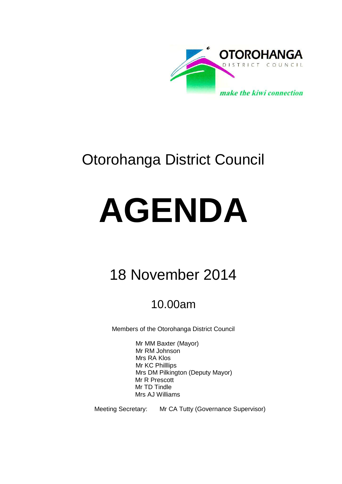

# Otorohanga District Council

# **AGENDA**

## 18 November 2014

## 10.00am

Members of the Otorohanga District Council

Mr MM Baxter (Mayor) Mr RM Johnson Mrs RA Klos Mr KC Philllips Mrs DM Pilkington (Deputy Mayor) Mr R Prescott Mr TD Tindle Mrs AJ Williams

Meeting Secretary: Mr CA Tutty (Governance Supervisor)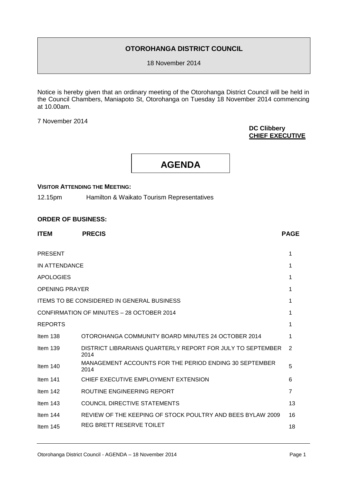#### **OTOROHANGA DISTRICT COUNCIL**

18 November 2014

Notice is hereby given that an ordinary meeting of the Otorohanga District Council will be held in the Council Chambers, Maniapoto St, Otorohanga on Tuesday 18 November 2014 commencing at 10.00am.

7 November 2014

#### **DC Clibbery CHIEF EXECUTIVE**

**AGENDA**

#### **VISITOR ATTENDING THE MEETING:**

12.15pm Hamilton & Waikato Tourism Representatives

#### **ORDER OF BUSINESS:**

| <b>ITEM</b>           | <b>PRECIS</b>                                                      | <b>PAGE</b>    |
|-----------------------|--------------------------------------------------------------------|----------------|
| <b>PRESENT</b>        |                                                                    | 1              |
| IN ATTENDANCE         |                                                                    | 1              |
| <b>APOLOGIES</b>      |                                                                    | 1              |
| <b>OPENING PRAYER</b> |                                                                    | 1              |
|                       | <b>ITEMS TO BE CONSIDERED IN GENERAL BUSINESS</b>                  | 1              |
|                       | CONFIRMATION OF MINUTES - 28 OCTOBER 2014                          | 1              |
| <b>REPORTS</b>        |                                                                    | 1              |
| Item 138              | OTOROHANGA COMMUNITY BOARD MINUTES 24 OCTOBER 2014                 | 1              |
| Item $139$            | DISTRICT LIBRARIANS QUARTERLY REPORT FOR JULY TO SEPTEMBER<br>2014 | 2              |
| Item $140$            | MANAGEMENT ACCOUNTS FOR THE PERIOD ENDING 30 SEPTEMBER<br>2014     | 5              |
| Item $141$            | CHIEF EXECUTIVE EMPLOYMENT EXTENSION                               | 6              |
| Item 142              | ROUTINE ENGINEERING REPORT                                         | $\overline{7}$ |
| Item $143$            | <b>COUNCIL DIRECTIVE STATEMENTS</b>                                | 13             |
| Item $144$            | REVIEW OF THE KEEPING OF STOCK POULTRY AND BEES BYLAW 2009         | 16             |
| Item $145$            | REG BRETT RESERVE TOILET                                           | 18             |
|                       |                                                                    |                |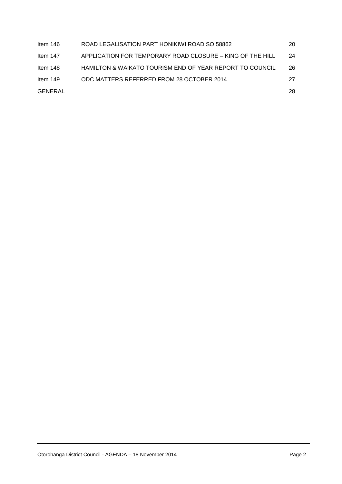| Item 146   | ROAD LEGALISATION PART HONIKIWI ROAD SO 58862             | 20 |
|------------|-----------------------------------------------------------|----|
| Item 147   | APPLICATION FOR TEMPORARY ROAD CLOSURE - KING OF THE HILL | 24 |
| Item 148   | HAMILTON & WAIKATO TOURISM END OF YEAR REPORT TO COUNCIL  | 26 |
| Item $149$ | ODC MATTERS REFERRED FROM 28 OCTOBER 2014                 | 27 |
| GENERAL    |                                                           | 28 |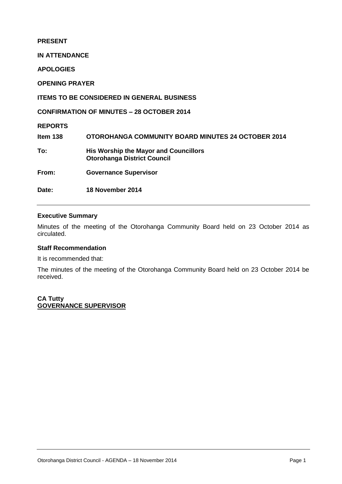#### **PRESENT**

**IN ATTENDANCE**

**APOLOGIES**

**OPENING PRAYER**

#### **ITEMS TO BE CONSIDERED IN GENERAL BUSINESS**

**CONFIRMATION OF MINUTES – 28 OCTOBER 2014**

**REPORTS**

**Item 138 OTOROHANGA COMMUNITY BOARD MINUTES 24 OCTOBER 2014 To: His Worship the Mayor and Councillors Otorohanga District Council From: Governance Supervisor**

**Date: 18 November 2014** 

#### **Executive Summary**

Minutes of the meeting of the Otorohanga Community Board held on 23 October 2014 as circulated.

#### **Staff Recommendation**

It is recommended that:

The minutes of the meeting of the Otorohanga Community Board held on 23 October 2014 be received.

**CA Tutty GOVERNANCE SUPERVISOR**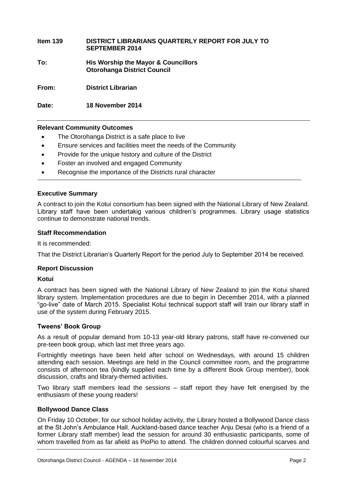| Item 139 | DISTRICT LIBRARIANS QUARTERLY REPORT FOR JULY TO<br><b>SEPTEMBER 2014</b> |
|----------|---------------------------------------------------------------------------|
| To:      | His Worship the Mayor & Councillors<br><b>Otorohanga District Council</b> |
| From:    | <b>District Librarian</b>                                                 |

**Relevant Community Outcomes**

**Date: 18 November 2014**

- The Otorohanga District is a safe place to live
- Ensure services and facilities meet the needs of the Community
- Provide for the unique history and culture of the District
- Foster an involved and engaged Community
- Recognise the importance of the Districts rural character

#### **Executive Summary**

A contract to join the Kotui consortium has been signed with the National Library of New Zealand. Library staff have been undertakig various children's programmes. Library usage statistics continue to demonstrate national trends.

#### **Staff Recommendation**

It is recommended:

That the District Librarian's Quarterly Report for the period July to September 2014 be received.

#### **Report Discussion**

#### **Kotui**

A contract has been signed with the National Library of New Zealand to join the Kotui shared library system. Implementation procedures are due to begin in December 2014, with a planned "go-live" date of March 2015. Specialist Kotui technical support staff will train our library staff in use of the system during February 2015.

#### **Tweens' Book Group**

As a result of popular demand from 10-13 year-old library patrons, staff have re-convened our pre-teen book group, which last met three years ago.

Fortnightly meetings have been held after school on Wednesdays, with around 15 children attending each session. Meetings are held in the Council committee room, and the programme consists of afternoon tea (kindly supplied each time by a different Book Group member), book discussion, crafts and library-themed activities.

Two library staff members lead the sessions – staff report they have felt energised by the enthusiasm of these young readers!

#### **Bollywood Dance Class**

On Friday 10 October, for our school holiday activity, the Library hosted a Bollywood Dance class at the St John's Ambulance Hall. Auckland-based dance teacher Anju Desai (who is a friend of a former Library staff member) lead the session for around 30 enthusiastic participants, some of whom travelled from as far afield as PioPio to attend. The children donned colourful scarves and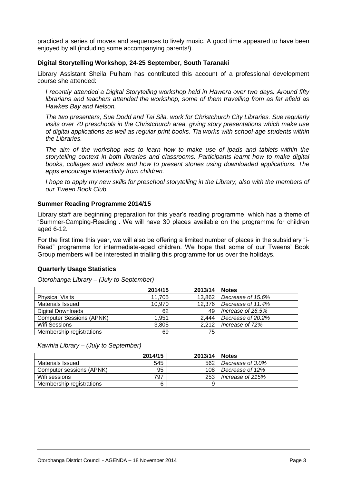practiced a series of moves and sequences to lively music. A good time appeared to have been enjoyed by all (including some accompanying parents!).

#### **Digital Storytelling Workshop, 24-25 September, South Taranaki**

Library Assistant Sheila Pulham has contributed this account of a professional development course she attended:

*I recently attended a Digital Storytelling workshop held in Hawera over two days. Around fifty librarians and teachers attended the workshop, some of them travelling from as far afield as Hawkes Bay and Nelson.* 

*The two presenters, Sue Dodd and Tai Sila, work for Christchurch City Libraries. Sue regularly visits over 70 preschools in the Christchurch area, giving story presentations which make use of digital applications as well as regular print books. Tia works with school-age students within the Libraries.* 

*The aim of the workshop was to learn how to make use of ipads and tablets within the storytelling context in both libraries and classrooms. Participants learnt how to make digital books, collages and videos and how to present stories using downloaded applications. The apps encourage interactivity from children.*

*I hope to apply my new skills for preschool storytelling in the Library, also with the members of our Tween Book Club.*

#### **Summer Reading Programme 2014/15**

Library staff are beginning preparation for this year's reading programme, which has a theme of "Summer-Camping-Reading". We will have 30 places available on the programme for children aged 6-12.

For the first time this year, we will also be offering a limited number of places in the subsidiary "i-Read" programme for intermediate-aged children. We hope that some of our Tweens' Book Group members will be interested in trialling this programme for us over the holidays.

#### **Quarterly Usage Statistics**

*Otorohanga Library – (July to September)*

|                                 | 2014/15 | 2013/14 | <b>Notes</b>      |
|---------------------------------|---------|---------|-------------------|
| <b>Physical Visits</b>          | 11,705  | 13,862  | Decrease of 15.6% |
| <b>Materials Issued</b>         | 10,970  | 12,376  | Decrease of 11.4% |
| Digital Downloads               | 62      | 49      | Increase of 26.5% |
| <b>Computer Sessions (APNK)</b> | 1,951   | 2,444   | Decrease of 20.2% |
| Wifi Sessions                   | 3,805   | 2.212   | Increase of 72%   |
| Membership registrations        | 69      | 75      |                   |

*Kawhia Library – (July to September)*

|                          | 2014/15 | 2013/14 | <b>Notes</b>     |
|--------------------------|---------|---------|------------------|
| Materials Issued         | 545     | 562     | Decrease of 3.0% |
| Computer sessions (APNK) | 95      | 108     | Decrease of 12%  |
| Wifi sessions            | 797     | 253     | Increase of 215% |
| Membership registrations | 6       |         |                  |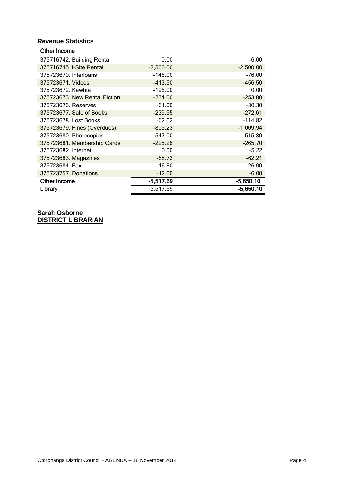#### **Revenue Statistics**

| Other Income                  |             |             |
|-------------------------------|-------------|-------------|
| 375716742. Building Rental    | 0.00        | $-6.00$     |
| 375716745. i-Site Rental      | $-2,500.00$ | $-2,500.00$ |
| 375723670. Interloans         | $-146.00$   | $-76.00$    |
| 375723671. Videos             | $-413.50$   | $-456.50$   |
| 375723672. Kawhia             | $-196.00$   | 0.00        |
| 375723673. New Rental Fiction | $-234.00$   | $-253.00$   |
| 375723676. Reserves           | $-61.00$    | $-80.30$    |
| 375723677. Sale of Books      | $-239.55$   | $-272.61$   |
| 375723678. Lost Books         | $-62.62$    | $-114.82$   |
| 375723679. Fines (Overdues)   | $-805.23$   | $-1,009.94$ |
| 375723680. Photocopies        | $-547.00$   | $-515.80$   |
| 375723681. Membership Cards   | $-225.26$   | $-265.70$   |
| 375723682. Internet           | 0.00        | $-5.22$     |
| 375723683. Magazines          | $-58.73$    | $-62.21$    |
| 375723684. Fax                | $-16.80$    | $-26.00$    |
| 375723757. Donations          | $-12.00$    | $-6.00$     |
| Other Income                  | $-5,517.69$ | $-5,650.10$ |
| Library                       | $-5,517.69$ | $-5,650.10$ |

**Sarah Osborne DISTRICT LIBRARIAN**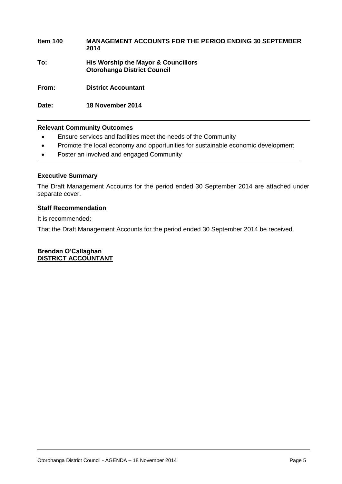### **Item 140 MANAGEMENT ACCOUNTS FOR THE PERIOD ENDING 30 SEPTEMBER 2014 To: His Worship the Mayor & Councillors Otorohanga District Council**

**From: District Accountant**

**Date: 18 November 2014**

#### **Relevant Community Outcomes**

- Ensure services and facilities meet the needs of the Community
- Promote the local economy and opportunities for sustainable economic development
- Foster an involved and engaged Community

#### **Executive Summary**

The Draft Management Accounts for the period ended 30 September 2014 are attached under separate cover.

#### **Staff Recommendation**

It is recommended:

That the Draft Management Accounts for the period ended 30 September 2014 be received.

**Brendan O'Callaghan DISTRICT ACCOUNTANT**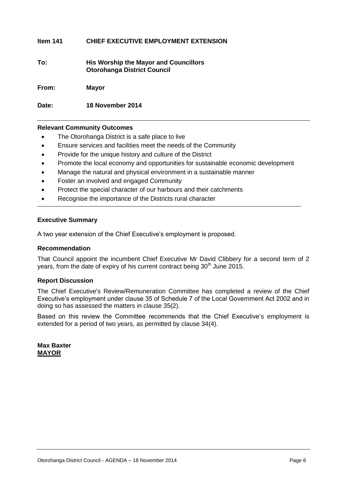#### **Item 141 CHIEF EXECUTIVE EMPLOYMENT EXTENSION**

**To: His Worship the Mayor and Councillors Otorohanga District Council**

**From: Mayor**

**Date: 18 November 2014**

#### **Relevant Community Outcomes**

- The Otorohanga District is a safe place to live
- Ensure services and facilities meet the needs of the Community
- Provide for the unique history and culture of the District
- Promote the local economy and opportunities for sustainable economic development
- Manage the natural and physical environment in a sustainable manner
- Foster an involved and engaged Community
- Protect the special character of our harbours and their catchments
- Recognise the importance of the Districts rural character

#### **Executive Summary**

A two year extension of the Chief Executive's employment is proposed.

#### **Recommendation**

That Council appoint the incumbent Chief Executive Mr David Clibbery for a second term of 2 years, from the date of expiry of his current contract being 30<sup>th</sup> June 2015.

#### **Report Discussion**

The Chief Executive's Review/Remuneration Committee has completed a review of the Chief Executive's employment under clause 35 of Schedule 7 of the Local Government Act 2002 and in doing so has assessed the matters in clause 35(2).

Based on this review the Committee recommends that the Chief Executive's employment is extended for a period of two years, as permitted by clause 34(4).

**Max Baxter MAYOR**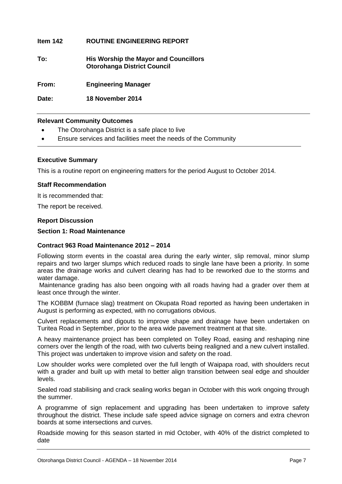#### **Item 142 ROUTINE ENGINEERING REPORT**

**To: His Worship the Mayor and Councillors Otorohanga District Council**

**From: Engineering Manager**

**Date: 18 November 2014**

#### **Relevant Community Outcomes**

- The Otorohanga District is a safe place to live
- Ensure services and facilities meet the needs of the Community

#### **Executive Summary**

This is a routine report on engineering matters for the period August to October 2014.

#### **Staff Recommendation**

It is recommended that:

The report be received.

#### **Report Discussion**

#### **Section 1: Road Maintenance**

#### **Contract 963 Road Maintenance 2012 – 2014**

Following storm events in the coastal area during the early winter, slip removal, minor slump repairs and two larger slumps which reduced roads to single lane have been a priority. In some areas the drainage works and culvert clearing has had to be reworked due to the storms and water damage.

Maintenance grading has also been ongoing with all roads having had a grader over them at least once through the winter.

The KOBBM (furnace slag) treatment on Okupata Road reported as having been undertaken in August is performing as expected, with no corrugations obvious.

Culvert replacements and digouts to improve shape and drainage have been undertaken on Turitea Road in September, prior to the area wide pavement treatment at that site.

A heavy maintenance project has been completed on Tolley Road, easing and reshaping nine corners over the length of the road, with two culverts being realigned and a new culvert installed. This project was undertaken to improve vision and safety on the road.

Low shoulder works were completed over the full length of Waipapa road, with shoulders recut with a grader and built up with metal to better align transition between seal edge and shoulder levels.

Sealed road stabilising and crack sealing works began in October with this work ongoing through the summer.

A programme of sign replacement and upgrading has been undertaken to improve safety throughout the district. These include safe speed advice signage on corners and extra chevron boards at some intersections and curves.

Roadside mowing for this season started in mid October, with 40% of the district completed to date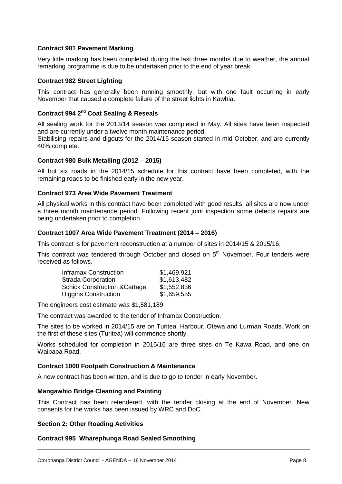#### **Contract 981 Pavement Marking**

Very little marking has been completed during the last three months due to weather, the annual remarking programme is due to be undertaken prior to the end of year break.

#### **Contract 982 Street Lighting**

This contract has generally been running smoothly, but with one fault occurring in early November that caused a complete failure of the street lights in Kawhia.

#### **Contract 994 2nd Coat Sealing & Reseals**

All sealing work for the 2013/14 season was completed in May. All sites have been inspected and are currently under a twelve month maintenance period.

Stabilising repairs and digouts for the 2014/15 season started in mid October, and are currently 40% complete.

#### **Contract 980 Bulk Metalling (2012 – 2015)**

All but six roads in the 2014/15 schedule for this contract have been completed, with the remaining roads to be finished early in the new year.

#### **Contract 973 Area Wide Pavement Treatment**

All physical works in this contract have been completed with good results, all sites are now under a three month maintenance period. Following recent joint inspection some defects repairs are being undertaken prior to completion.

#### **Contract 1007 Area Wide Pavement Treatment (2014 – 2016)**

This contract is for pavement reconstruction at a number of sites in 2014/15 & 2015/16.

This contract was tendered through October and closed on 5<sup>th</sup> November. Four tenders were received as follows.

| \$1,469,921 |
|-------------|
| \$1,613,482 |
| \$1,552,836 |
| \$1,659,555 |
|             |

The engineers cost estimate was \$1,581,189

The contract was awarded to the tender of Inframax Construction.

The sites to be worked in 2014/15 are on Turitea, Harbour, Otewa and Lurman Roads. Work on the first of these sites (Turitea) will commence shortly.

Works scheduled for completion in 2015/16 are three sites on Te Kawa Road, and one on Waipapa Road.

#### **Contract 1000 Footpath Construction & Maintenance**

A new contract has been written, and is due to go to tender in early November.

#### **Mangawhio Bridge Cleaning and Painting**

This Contract has been retendered, with the tender closing at the end of November. New consents for the works has been issued by WRC and DoC.

#### **Section 2: Other Roading Activities**

#### **Contract 995 Wharephunga Road Sealed Smoothing**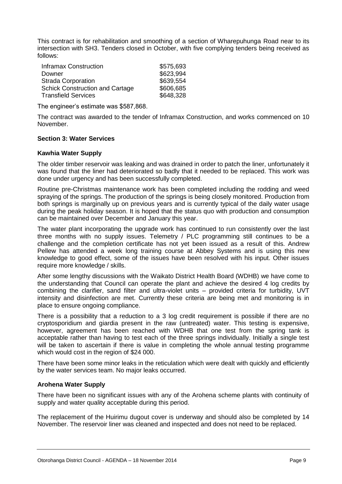This contract is for rehabilitation and smoothing of a section of Wharepuhunga Road near to its intersection with SH3. Tenders closed in October, with five complying tenders being received as follows:

| <b>Inframax Construction</b>           | \$575,693 |
|----------------------------------------|-----------|
| Downer                                 | \$623,994 |
| <b>Strada Corporation</b>              | \$639,554 |
| <b>Schick Construction and Cartage</b> | \$606,685 |
| Transfield Services                    | \$648,328 |

The engineer's estimate was \$587,868.

The contract was awarded to the tender of Inframax Construction, and works commenced on 10 November.

#### **Section 3: Water Services**

#### **Kawhia Water Supply**

The older timber reservoir was leaking and was drained in order to patch the liner, unfortunately it was found that the liner had deteriorated so badly that it needed to be replaced. This work was done under urgency and has been successfully completed.

Routine pre-Christmas maintenance work has been completed including the rodding and weed spraying of the springs. The production of the springs is being closely monitored. Production from both springs is marginally up on previous years and is currently typical of the daily water usage during the peak holiday season. It is hoped that the status quo with production and consumption can be maintained over December and January this year.

The water plant incorporating the upgrade work has continued to run consistently over the last three months with no supply issues. Telemetry / PLC programming still continues to be a challenge and the completion certificate has not yet been issued as a result of this. Andrew Pellew has attended a week long training course at Abbey Systems and is using this new knowledge to good effect, some of the issues have been resolved with his input. Other issues require more knowledge / skills.

After some lengthy discussions with the Waikato District Health Board (WDHB) we have come to the understanding that Council can operate the plant and achieve the desired 4 log credits by combining the clarifier, sand filter and ultra-violet units – provided criteria for turbidity, UVT intensity and disinfection are met. Currently these criteria are being met and monitoring is in place to ensure ongoing compliance.

There is a possibility that a reduction to a 3 log credit requirement is possible if there are no cryptosporidium and giardia present in the raw (untreated) water. This testing is expensive, however, agreement has been reached with WDHB that one test from the spring tank is acceptable rather than having to test each of the three springs individually. Initially a single test will be taken to ascertain if there is value in completing the whole annual testing programme which would cost in the region of \$24 000.

There have been some minor leaks in the reticulation which were dealt with quickly and efficiently by the water services team. No major leaks occurred.

#### **Arohena Water Supply**

There have been no significant issues with any of the Arohena scheme plants with continuity of supply and water quality acceptable during this period.

The replacement of the Huirimu dugout cover is underway and should also be completed by 14 November. The reservoir liner was cleaned and inspected and does not need to be replaced.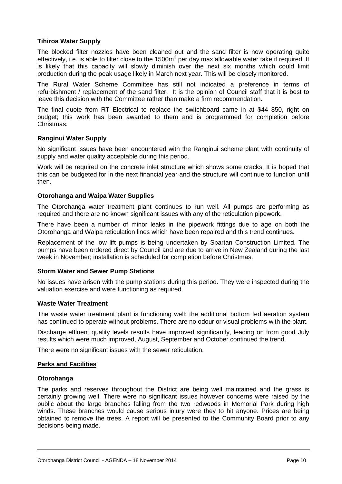#### **Tihiroa Water Supply**

The blocked filter nozzles have been cleaned out and the sand filter is now operating quite effectively, i.e. is able to filter close to the 1500 $m<sup>3</sup>$  per day max allowable water take if required. It is likely that this capacity will slowly diminish over the next six months which could limit production during the peak usage likely in March next year. This will be closely monitored.

The Rural Water Scheme Committee has still not indicated a preference in terms of refurbishment / replacement of the sand filter. It is the opinion of Council staff that it is best to leave this decision with the Committee rather than make a firm recommendation.

The final quote from RT Electrical to replace the switchboard came in at \$44 850, right on budget; this work has been awarded to them and is programmed for completion before Christmas.

#### **Ranginui Water Supply**

No significant issues have been encountered with the Ranginui scheme plant with continuity of supply and water quality acceptable during this period.

Work will be required on the concrete inlet structure which shows some cracks. It is hoped that this can be budgeted for in the next financial year and the structure will continue to function until then.

#### **Otorohanga and Waipa Water Supplies**

The Otorohanga water treatment plant continues to run well. All pumps are performing as required and there are no known significant issues with any of the reticulation pipework.

There have been a number of minor leaks in the pipework fittings due to age on both the Otorohanga and Waipa reticulation lines which have been repaired and this trend continues.

Replacement of the low lift pumps is being undertaken by Spartan Construction Limited. The pumps have been ordered direct by Council and are due to arrive in New Zealand during the last week in November; installation is scheduled for completion before Christmas.

#### **Storm Water and Sewer Pump Stations**

No issues have arisen with the pump stations during this period. They were inspected during the valuation exercise and were functioning as required.

#### **Waste Water Treatment**

The waste water treatment plant is functioning well; the additional bottom fed aeration system has continued to operate without problems. There are no odour or visual problems with the plant.

Discharge effluent quality levels results have improved significantly, leading on from good July results which were much improved, August, September and October continued the trend.

There were no significant issues with the sewer reticulation.

#### **Parks and Facilities**

#### **Otorohanga**

The parks and reserves throughout the District are being well maintained and the grass is certainly growing well. There were no significant issues however concerns were raised by the public about the large branches falling from the two redwoods in Memorial Park during high winds. These branches would cause serious injury were they to hit anyone. Prices are being obtained to remove the trees. A report will be presented to the Community Board prior to any decisions being made.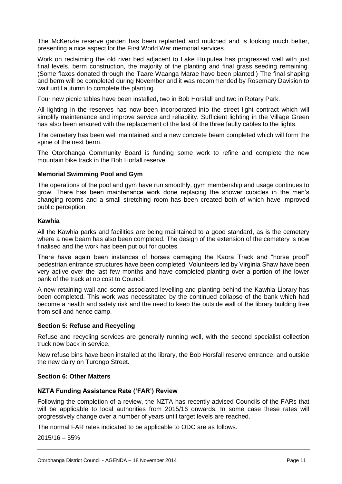The McKenzie reserve garden has been replanted and mulched and is looking much better, presenting a nice aspect for the First World War memorial services.

Work on reclaiming the old river bed adjacent to Lake Huiputea has progressed well with just final levels, berm construction, the majority of the planting and final grass seeding remaining. (Some flaxes donated through the Taare Waanga Marae have been planted.) The final shaping and berm will be completed during November and it was recommended by Rosemary Davision to wait until autumn to complete the planting.

Four new picnic tables have been installed, two in Bob Horsfall and two in Rotary Park.

All lighting in the reserves has now been incorporated into the street light contract which will simplify maintenance and improve service and reliability. Sufficient lighting in the Village Green has also been ensured with the replacement of the last of the three faulty cables to the lights.

The cemetery has been well maintained and a new concrete beam completed which will form the spine of the next berm.

The Otorohanga Community Board is funding some work to refine and complete the new mountain bike track in the Bob Horfall reserve.

#### **Memorial Swimming Pool and Gym**

The operations of the pool and gym have run smoothly, gym membership and usage continues to grow. There has been maintenance work done replacing the shower cubicles in the men's changing rooms and a small stretching room has been created both of which have improved public perception.

#### **Kawhia**

All the Kawhia parks and facilities are being maintained to a good standard, as is the cemetery where a new beam has also been completed. The design of the extension of the cemetery is now finalised and the work has been put out for quotes.

There have again been instances of horses damaging the Kaora Track and "horse proof" pedestrian entrance structures have been completed. Volunteers led by Virginia Shaw have been very active over the last few months and have completed planting over a portion of the lower bank of the track at no cost to Council.

A new retaining wall and some associated levelling and planting behind the Kawhia Library has been completed. This work was necessitated by the continued collapse of the bank which had become a health and safety risk and the need to keep the outside wall of the library building free from soil and hence damp.

#### **Section 5: Refuse and Recycling**

Refuse and recycling services are generally running well, with the second specialist collection truck now back in service.

New refuse bins have been installed at the library, the Bob Horsfall reserve entrance, and outside the new dairy on Turongo Street.

#### **Section 6: Other Matters**

#### **NZTA Funding Assistance Rate ('FAR') Review**

Following the completion of a review, the NZTA has recently advised Councils of the FARs that will be applicable to local authorities from 2015/16 onwards. In some case these rates will progressively change over a number of years until target levels are reached.

The normal FAR rates indicated to be applicable to ODC are as follows.

2015/16 – 55%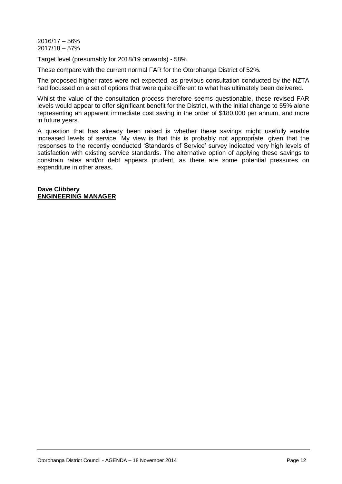2016/17 – 56% 2017/18 – 57%

Target level (presumably for 2018/19 onwards) - 58%

These compare with the current normal FAR for the Otorohanga District of 52%.

The proposed higher rates were not expected, as previous consultation conducted by the NZTA had focussed on a set of options that were quite different to what has ultimately been delivered.

Whilst the value of the consultation process therefore seems questionable, these revised FAR levels would appear to offer significant benefit for the District, with the initial change to 55% alone representing an apparent immediate cost saving in the order of \$180,000 per annum, and more in future years.

A question that has already been raised is whether these savings might usefully enable increased levels of service. My view is that this is probably not appropriate, given that the responses to the recently conducted 'Standards of Service' survey indicated very high levels of satisfaction with existing service standards. The alternative option of applying these savings to constrain rates and/or debt appears prudent, as there are some potential pressures on expenditure in other areas.

**Dave Clibbery ENGINEERING MANAGER**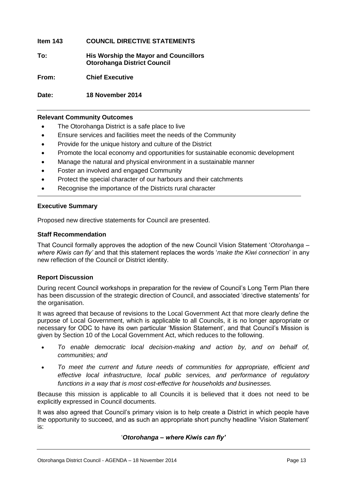#### **Item 143 COUNCIL DIRECTIVE STATEMENTS**

**To: His Worship the Mayor and Councillors Otorohanga District Council**

**From: Chief Executive**

**Date: 18 November 2014**

#### **Relevant Community Outcomes**

- The Otorohanga District is a safe place to live
- Ensure services and facilities meet the needs of the Community
- Provide for the unique history and culture of the District
- Promote the local economy and opportunities for sustainable economic development
- Manage the natural and physical environment in a sustainable manner
- Foster an involved and engaged Community
- Protect the special character of our harbours and their catchments
- Recognise the importance of the Districts rural character

#### **Executive Summary**

Proposed new directive statements for Council are presented.

#### **Staff Recommendation**

That Council formally approves the adoption of the new Council Vision Statement '*Otorohanga – where Kiwis can fly'* and that this statement replaces the words '*make the Kiwi connection*' in any new reflection of the Council or District identity.

#### **Report Discussion**

During recent Council workshops in preparation for the review of Council's Long Term Plan there has been discussion of the strategic direction of Council, and associated 'directive statements' for the organisation.

It was agreed that because of revisions to the Local Government Act that more clearly define the purpose of Local Government, which is applicable to all Councils, it is no longer appropriate or necessary for ODC to have its own particular 'Mission Statement', and that Council's Mission is given by Section 10 of the Local Government Act, which reduces to the following.

- *To enable democratic local decision-making and action by, and on behalf of, communities; and*
- *To meet the current and future needs of communities for appropriate, efficient and effective local infrastructure, local public services, and performance of regulatory functions in a way that is most cost-effective for households and businesses.*

Because this mission is applicable to all Councils it is believed that it does not need to be explicitly expressed in Council documents.

It was also agreed that Council's primary vision is to help create a District in which people have the opportunity to succeed, and as such an appropriate short punchy headline 'Vision Statement' is:

'*Otorohanga – where Kiwis can fly'*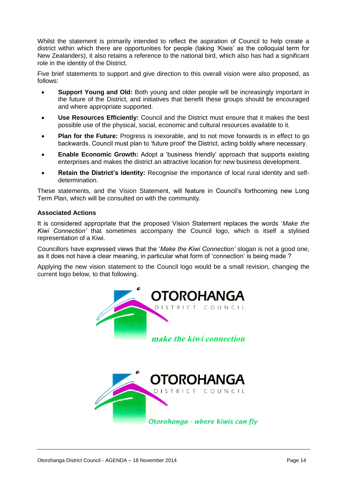Whilst the statement is primarily intended to reflect the aspiration of Council to help create a district within which there are opportunities for people (taking 'Kiwis' as the colloquial term for New Zealanders), it also retains a reference to the national bird, which also has had a significant role in the identity of the District.

Five brief statements to support and give direction to this overall vision were also proposed, as follows:

- **Support Young and Old:** Both young and older people will be increasingly important in the future of the District, and initiatives that benefit these groups should be encouraged and where appropriate supported.
- **Use Resources Efficiently:** Council and the District must ensure that it makes the best possible use of the physical, social, economic and cultural resources available to it.
- **Plan for the Future:** Progress is inexorable, and to not move forwards is in effect to go backwards. Council must plan to 'future proof' the District, acting boldly where necessary.
- **Enable Economic Growth:** Adopt a 'business friendly' approach that supports existing enterprises and makes the district an attractive location for new business development.
- **Retain the District's Identity:** Recognise the importance of local rural identity and selfdetermination.

These statements, and the Vision Statement, will feature in Council's forthcoming new Long Term Plan, which will be consulted on with the community.

#### **Associated Actions**

It is considered appropriate that the proposed Vision Statement replaces the words '*Make the Kiwi Connection'* that sometimes accompany the Council logo, which is itself a stylised representation of a Kiwi.

Councillors have expressed views that the '*Make the Kiwi Connection'* slogan is not a good one, as it does not have a clear meaning, in particular what form of 'connection' is being made ?

Applying the new vision statement to the Council logo would be a small revision, changing the current logo below, to that following.



Otorohanga - where kiwis can fly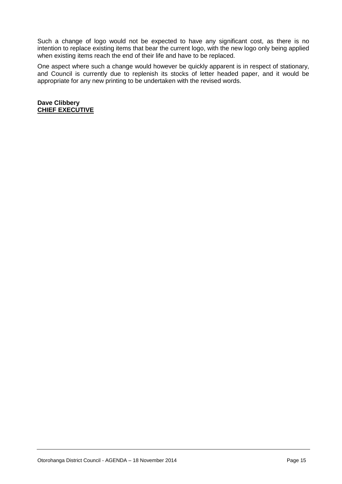Such a change of logo would not be expected to have any significant cost, as there is no intention to replace existing items that bear the current logo, with the new logo only being applied when existing items reach the end of their life and have to be replaced.

One aspect where such a change would however be quickly apparent is in respect of stationary, and Council is currently due to replenish its stocks of letter headed paper, and it would be appropriate for any new printing to be undertaken with the revised words.

**Dave Clibbery CHIEF EXECUTIVE**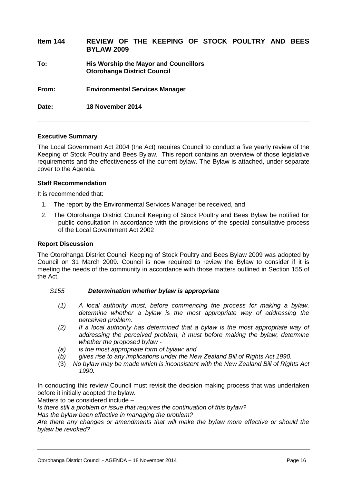| Item 144 | REVIEW OF THE KEEPING OF STOCK POULTRY AND<br><b>BEES</b><br><b>BYLAW 2009</b> |
|----------|--------------------------------------------------------------------------------|
| To:      | His Worship the Mayor and Councillors<br><b>Otorohanga District Council</b>    |
| From:    | <b>Environmental Services Manager</b>                                          |
| Date:    | 18 November 2014                                                               |

#### **Executive Summary**

The Local Government Act 2004 (the Act) requires Council to conduct a five yearly review of the Keeping of Stock Poultry and Bees Bylaw. This report contains an overview of those legislative requirements and the effectiveness of the current bylaw. The Bylaw is attached, under separate cover to the Agenda.

#### **Staff Recommendation**

It is recommended that:

- 1. The report by the Environmental Services Manager be received, and
- 2. The Otorohanga District Council Keeping of Stock Poultry and Bees Bylaw be notified for public consultation in accordance with the provisions of the special consultative process of the Local Government Act 2002

#### **Report Discussion**

The Otorohanga District Council Keeping of Stock Poultry and Bees Bylaw 2009 was adopted by Council on 31 March 2009. Council is now required to review the Bylaw to consider if it is meeting the needs of the community in accordance with those matters outlined in Section 155 of the Act.

#### *S155 Determination whether bylaw is appropriate*

- *(1) A local authority must, before commencing the process for making a bylaw, determine whether a bylaw is the most appropriate way of addressing the perceived problem.*
- *(2) If a local authority has determined that a bylaw is the most appropriate way of addressing the perceived problem, it must before making the bylaw, determine whether the proposed bylaw -*
- *(a) is the most appropriate form of bylaw; and*
- *(b) gives rise to any implications under the New Zealand Bill of Rights Act 1990.*
- (3) *No bylaw may be made which is inconsistent with the New Zealand Bill of Rights Act 1990.*

In conducting this review Council must revisit the decision making process that was undertaken before it initially adopted the bylaw.

Matters to be considered include –

*Is there still a problem or issue that requires the continuation of this bylaw?*

*Has the bylaw been effective in managing the problem?* 

*Are there any changes or amendments that will make the bylaw more effective or should the bylaw be revoked?*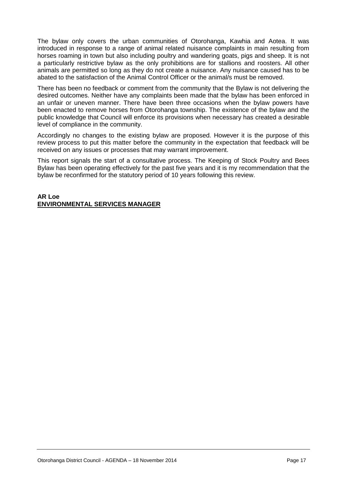The bylaw only covers the urban communities of Otorohanga, Kawhia and Aotea. It was introduced in response to a range of animal related nuisance complaints in main resulting from horses roaming in town but also including poultry and wandering goats, pigs and sheep. It is not a particularly restrictive bylaw as the only prohibitions are for stallions and roosters. All other animals are permitted so long as they do not create a nuisance. Any nuisance caused has to be abated to the satisfaction of the Animal Control Officer or the animal/s must be removed.

There has been no feedback or comment from the community that the Bylaw is not delivering the desired outcomes. Neither have any complaints been made that the bylaw has been enforced in an unfair or uneven manner. There have been three occasions when the bylaw powers have been enacted to remove horses from Otorohanga township. The existence of the bylaw and the public knowledge that Council will enforce its provisions when necessary has created a desirable level of compliance in the community.

Accordingly no changes to the existing bylaw are proposed. However it is the purpose of this review process to put this matter before the community in the expectation that feedback will be received on any issues or processes that may warrant improvement.

This report signals the start of a consultative process. The Keeping of Stock Poultry and Bees Bylaw has been operating effectively for the past five years and it is my recommendation that the bylaw be reconfirmed for the statutory period of 10 years following this review.

#### **AR Loe ENVIRONMENTAL SERVICES MANAGER**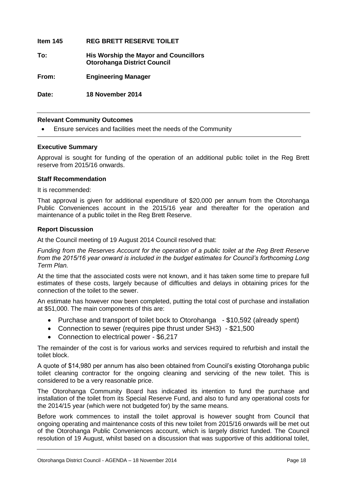**Item 145 REG BRETT RESERVE TOILET To: His Worship the Mayor and Councillors Otorohanga District Council From: Engineering Manager Date: 18 November 2014**

#### **Relevant Community Outcomes**

Ensure services and facilities meet the needs of the Community

#### **Executive Summary**

Approval is sought for funding of the operation of an additional public toilet in the Reg Brett reserve from 2015/16 onwards.

#### **Staff Recommendation**

It is recommended:

That approval is given for additional expenditure of \$20,000 per annum from the Otorohanga Public Conveniences account in the 2015/16 year and thereafter for the operation and maintenance of a public toilet in the Reg Brett Reserve.

#### **Report Discussion**

At the Council meeting of 19 August 2014 Council resolved that:

*Funding from the Reserves Account for the operation of a public toilet at the Reg Brett Reserve from the 2015/16 year onward is included in the budget estimates for Council's forthcoming Long Term Plan.*

At the time that the associated costs were not known, and it has taken some time to prepare full estimates of these costs, largely because of difficulties and delays in obtaining prices for the connection of the toilet to the sewer.

An estimate has however now been completed, putting the total cost of purchase and installation at \$51,000. The main components of this are:

- Purchase and transport of toilet bock to Otorohanga \$10,592 (already spent)
- Connection to sewer (requires pipe thrust under SH3) \$21,500
- Connection to electrical power \$6,217

The remainder of the cost is for various works and services required to refurbish and install the toilet block.

A quote of \$14,980 per annum has also been obtained from Council's existing Otorohanga public toilet cleaning contractor for the ongoing cleaning and servicing of the new toilet. This is considered to be a very reasonable price.

The Otorohanga Community Board has indicated its intention to fund the purchase and installation of the toilet from its Special Reserve Fund, and also to fund any operational costs for the 2014/15 year (which were not budgeted for) by the same means.

Before work commences to install the toilet approval is however sought from Council that ongoing operating and maintenance costs of this new toilet from 2015/16 onwards will be met out of the Otorohanga Public Conveniences account, which is largely district funded. The Council resolution of 19 August, whilst based on a discussion that was supportive of this additional toilet,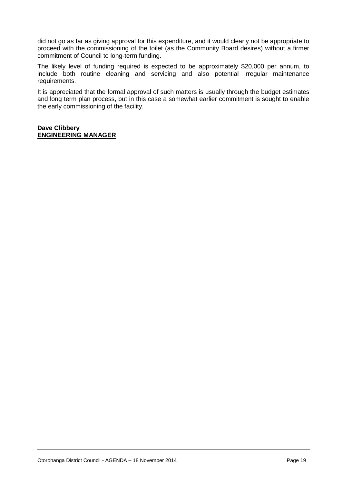did not go as far as giving approval for this expenditure, and it would clearly not be appropriate to proceed with the commissioning of the toilet (as the Community Board desires) without a firmer commitment of Council to long-term funding.

The likely level of funding required is expected to be approximately \$20,000 per annum, to include both routine cleaning and servicing and also potential irregular maintenance requirements.

It is appreciated that the formal approval of such matters is usually through the budget estimates and long term plan process, but in this case a somewhat earlier commitment is sought to enable the early commissioning of the facility.

#### **Dave Clibbery ENGINEERING MANAGER**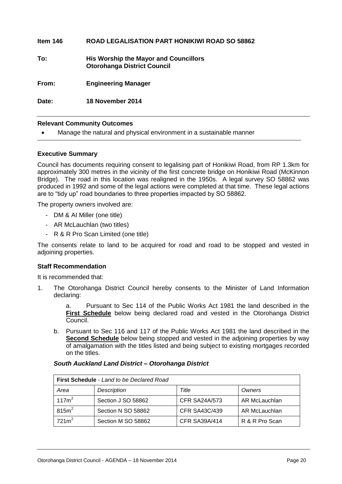| Date:    | 18 November 2014                                                                   |
|----------|------------------------------------------------------------------------------------|
| From:    | <b>Engineering Manager</b>                                                         |
| To:      | <b>His Worship the Mayor and Councillors</b><br><b>Otorohanga District Council</b> |
| Item 146 | <b>ROAD LEGALISATION PART HONIKIWI ROAD SO 58862</b>                               |

#### **Relevant Community Outcomes**

Manage the natural and physical environment in a sustainable manner

#### **Executive Summary**

Council has documents requiring consent to legalising part of Honikiwi Road, from RP 1.3km for approximately 300 metres in the vicinity of the first concrete bridge on Honikiwi Road (McKinnon Bridge). The road in this location was realigned in the 1950s. A legal survey SO 58862 was produced in 1992 and some of the legal actions were completed at that time. These legal actions are to "tidy up" road boundaries to three properties impacted by SO 58862.

The property owners involved are:

- DM & AI Miller (one title)
- AR McLauchlan (two titles)
- R & R Pro Scan Limited (one title)

The consents relate to land to be acquired for road and road to be stopped and vested in adjoining properties.

#### **Staff Recommendation**

It is recommended that:

1. The Otorohanga District Council hereby consents to the Minister of Land Information declaring:

> a. Pursuant to Sec 114 of the Public Works Act 1981 the land described in the **First Schedule** below being declared road and vested in the Otorohanga District Council.

b. Pursuant to Sec 116 and 117 of the Public Works Act 1981 the land described in the **Second Schedule** below being stopped and vested in the adjoining properties by way of amalgamation with the titles listed and being subject to existing mortgages recorded on the titles.

| <b>First Schedule</b> - Land to be Declared Road |                    |                      |                |  |
|--------------------------------------------------|--------------------|----------------------|----------------|--|
| Area                                             | Description        | Title                | Owners         |  |
| 117m <sup>2</sup>                                | Section J SO 58862 | <b>CFR SA24A/573</b> | AR McLauchlan  |  |
| 815m <sup>2</sup>                                | Section N SO 58862 | <b>CFR SA43C/439</b> | AR McLauchlan  |  |
| 721m <sup>2</sup>                                | Section M SO 58862 | <b>CFR SA39A/414</b> | R & R Pro Scan |  |

#### *South Auckland Land District – Otorohanga District*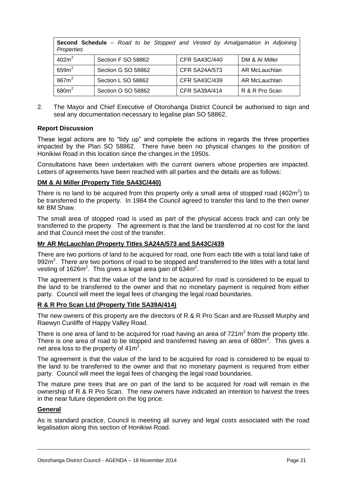| <b>Second Schedule</b> – Road to be Stopped and Vested by Amalgamation in Adjoining<br>Properties |                    |                      |                |  |
|---------------------------------------------------------------------------------------------------|--------------------|----------------------|----------------|--|
| 402m <sup>2</sup>                                                                                 | Section F SO 58862 | <b>CFR SA43C/440</b> | DM & AI Miller |  |
| 659m <sup>2</sup>                                                                                 | Section G SO 58862 | <b>CFR SA24A/573</b> | AR McLauchlan  |  |
| 967m <sup>2</sup>                                                                                 | Section L SO 58862 | CFR SA43C/439        | AR McLauchlan  |  |
| 680m <sup>2</sup>                                                                                 | Section O SO 58862 | <b>CFR SA39A/414</b> | R & R Pro Scan |  |

2. The Mayor and Chief Executive of Otorohanga District Council be authorised to sign and seal any documentation necessary to legalise plan SO 58862.

#### **Report Discussion**

These legal actions are to "tidy up" and complete the actions in regards the three properties impacted by the Plan SO 58862. There have been no physical changes to the position of Honikiwi Road in this location since the changes in the 1950s.

Consultations have been undertaken with the current owners whose properties are impacted. Letters of agreements have been reached with all parties and the details are as follows:

#### **DM & AI Miller (Property Title SA43C/440)**

There is no land to be acquired from this property only a small area of stopped road (402m<sup>2</sup>) to be transferred to the property. In 1984 the Council agreed to transfer this land to the then owner Mr BM Shaw.

The small area of stopped road is used as part of the physical access track and can only be transferred to the property. The agreement is that the land be transferred at no cost for the land and that Council meet the cost of the transfer.

#### **Mr AR McLauchlan (Property Titles SA24A/573 and SA43C/439**

There are two portions of land to be acquired for road, one from each title with a total land take of 992 $m^2$ . There are two portions of road to be stopped and transferred to the titles with a total land vesting of 1626 $m^2$ . This gives a legal area gain of 634 $m^2$ .

The agreement is that the value of the land to be acquired for road is considered to be equal to the land to be transferred to the owner and that no monetary payment is required from either party. Council will meet the legal fees of changing the legal road boundaries.

#### **R & R Pro Scan Ltd (Property Title SA39A/414)**

The new owners of this property are the directors of R & R Pro Scan and are Russell Murphy and Raewyn Cunliffe of Happy Valley Road.

There is one area of land to be acquired for road having an area of  $721m<sup>2</sup>$  from the property title. There is one area of road to be stopped and transferred having an area of 680 $m^2$ . This gives a net area loss to the property of  $41m^2$ .

The agreement is that the value of the land to be acquired for road is considered to be equal to the land to be transferred to the owner and that no monetary payment is required from either party. Council will meet the legal fees of changing the legal road boundaries.

The mature pine trees that are on part of the land to be acquired for road will remain in the ownership of R & R Pro Scan. The new owners have indicated an intention to harvest the trees in the near future dependent on the log price.

#### **General**

As is standard practice, Council is meeting all survey and legal costs associated with the road legalisation along this section of Honikiwi Road.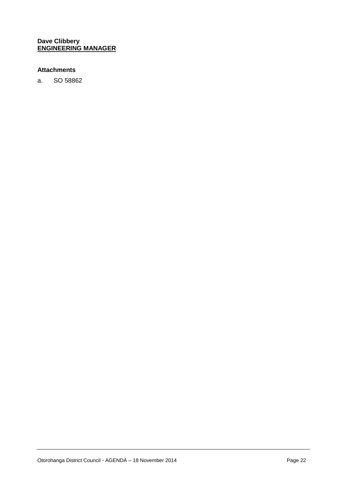#### **Dave Clibbery ENGINEERING MANAGER**

#### **Attachments**

a. SO 58862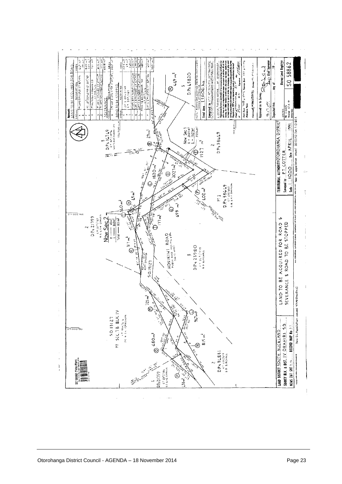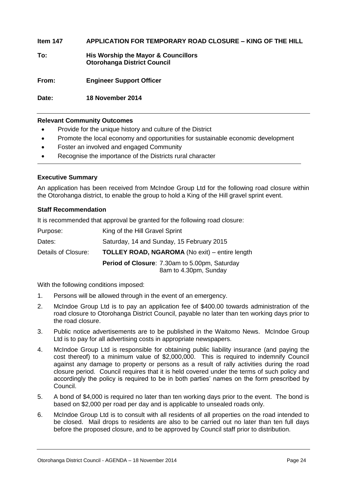#### **Item 147 APPLICATION FOR TEMPORARY ROAD CLOSURE – KING OF THE HILL**

**To: His Worship the Mayor & Councillors Otorohanga District Council**

**From: Engineer Support Officer**

**Date: 18 November 2014**

#### **Relevant Community Outcomes**

- Provide for the unique history and culture of the District
- Promote the local economy and opportunities for sustainable economic development
- Foster an involved and engaged Community
- Recognise the importance of the Districts rural character

#### **Executive Summary**

An application has been received from McIndoe Group Ltd for the following road closure within the Otorohanga district, to enable the group to hold a King of the Hill gravel sprint event.

#### **Staff Recommendation**

It is recommended that approval be granted for the following road closure:

| Purpose:<br>Dates:  | King of the Hill Gravel Sprint<br>Saturday, 14 and Sunday, 15 February 2015 |
|---------------------|-----------------------------------------------------------------------------|
| Details of Closure: | <b>TOLLEY ROAD, NGAROMA (No exit)</b> – entire length                       |
|                     | Period of Closure: 7.30am to 5.00pm, Saturday<br>8am to 4.30pm, Sunday      |

With the following conditions imposed:

- 1. Persons will be allowed through in the event of an emergency.
- 2. McIndoe Group Ltd is to pay an application fee of \$400.00 towards administration of the road closure to Otorohanga District Council, payable no later than ten working days prior to the road closure.
- 3. Public notice advertisements are to be published in the Waitomo News. McIndoe Group Ltd is to pay for all advertising costs in appropriate newspapers.
- 4. McIndoe Group Ltd is responsible for obtaining public liability insurance (and paying the cost thereof) to a minimum value of \$2,000,000. This is required to indemnify Council against any damage to property or persons as a result of rally activities during the road closure period. Council requires that it is held covered under the terms of such policy and accordingly the policy is required to be in both parties' names on the form prescribed by Council.
- 5. A bond of \$4,000 is required no later than ten working days prior to the event. The bond is based on \$2,000 per road per day and is applicable to unsealed roads only.
- 6. McIndoe Group Ltd is to consult with all residents of all properties on the road intended to be closed. Mail drops to residents are also to be carried out no later than ten full days before the proposed closure, and to be approved by Council staff prior to distribution.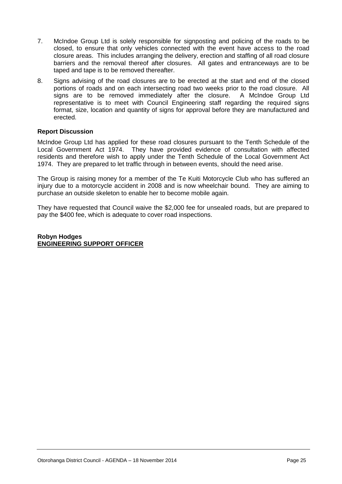- 7. McIndoe Group Ltd is solely responsible for signposting and policing of the roads to be closed, to ensure that only vehicles connected with the event have access to the road closure areas. This includes arranging the delivery, erection and staffing of all road closure barriers and the removal thereof after closures. All gates and entranceways are to be taped and tape is to be removed thereafter.
- 8. Signs advising of the road closures are to be erected at the start and end of the closed portions of roads and on each intersecting road two weeks prior to the road closure. All signs are to be removed immediately after the closure. A McIndoe Group Ltd representative is to meet with Council Engineering staff regarding the required signs format, size, location and quantity of signs for approval before they are manufactured and erected.

#### **Report Discussion**

McIndoe Group Ltd has applied for these road closures pursuant to the Tenth Schedule of the Local Government Act 1974. They have provided evidence of consultation with affected residents and therefore wish to apply under the Tenth Schedule of the Local Government Act 1974. They are prepared to let traffic through in between events, should the need arise.

The Group is raising money for a member of the Te Kuiti Motorcycle Club who has suffered an injury due to a motorcycle accident in 2008 and is now wheelchair bound. They are aiming to purchase an outside skeleton to enable her to become mobile again.

They have requested that Council waive the \$2,000 fee for unsealed roads, but are prepared to pay the \$400 fee, which is adequate to cover road inspections.

**Robyn Hodges ENGINEERING SUPPORT OFFICER**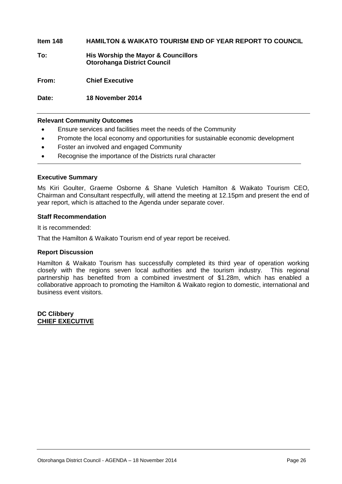#### **Item 148 HAMILTON & WAIKATO TOURISM END OF YEAR REPORT TO COUNCIL**

**To: His Worship the Mayor & Councillors Otorohanga District Council**

**From: Chief Executive**

**Date: 18 November 2014**

#### **Relevant Community Outcomes**

- Ensure services and facilities meet the needs of the Community
- Promote the local economy and opportunities for sustainable economic development
- Foster an involved and engaged Community
- Recognise the importance of the Districts rural character

#### **Executive Summary**

Ms Kiri Goulter, Graeme Osborne & Shane Vuletich Hamilton & Waikato Tourism CEO, Chairman and Consultant respectfully, will attend the meeting at 12.15pm and present the end of year report, which is attached to the Agenda under separate cover.

#### **Staff Recommendation**

It is recommended:

That the Hamilton & Waikato Tourism end of year report be received.

#### **Report Discussion**

Hamilton & Waikato Tourism has successfully completed its third year of operation working closely with the regions seven local authorities and the tourism industry. This regional partnership has benefited from a combined investment of \$1.28m, which has enabled a collaborative approach to promoting the Hamilton & Waikato region to domestic, international and business event visitors.

**DC Clibbery CHIEF EXECUTIVE**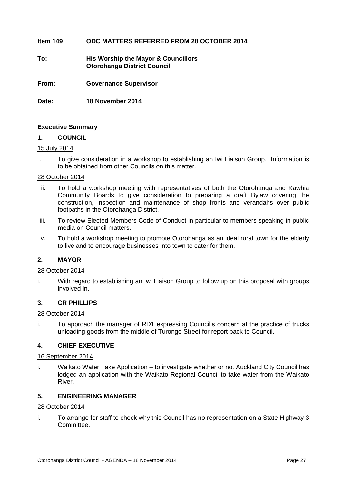#### **Item 149 ODC MATTERS REFERRED FROM 28 OCTOBER 2014**

**To: His Worship the Mayor & Councillors Otorohanga District Council**

**From: Governance Supervisor**

**Date: 18 November 2014**

#### **Executive Summary**

#### **1. COUNCIL**

#### 15 July 2014

i. To give consideration in a workshop to establishing an Iwi Liaison Group. Information is to be obtained from other Councils on this matter.

#### 28 October 2014

- ii. To hold a workshop meeting with representatives of both the Otorohanga and Kawhia Community Boards to give consideration to preparing a draft Bylaw covering the construction, inspection and maintenance of shop fronts and verandahs over public footpaths in the Otorohanga District.
- iii. To review Elected Members Code of Conduct in particular to members speaking in public media on Council matters.
- iv. To hold a workshop meeting to promote Otorohanga as an ideal rural town for the elderly to live and to encourage businesses into town to cater for them.

#### **2. MAYOR**

#### 28 October 2014

i. With regard to establishing an Iwi Liaison Group to follow up on this proposal with groups involved in.

#### **3. CR PHILLIPS**

#### 28 October 2014

i. To approach the manager of RD1 expressing Council's concern at the practice of trucks unloading goods from the middle of Turongo Street for report back to Council.

#### **4. CHIEF EXECUTIVE**

#### 16 September 2014

i. Waikato Water Take Application – to investigate whether or not Auckland City Council has lodged an application with the Waikato Regional Council to take water from the Waikato River.

#### **5. ENGINEERING MANAGER**

#### 28 October 2014

i. To arrange for staff to check why this Council has no representation on a State Highway 3 Committee.